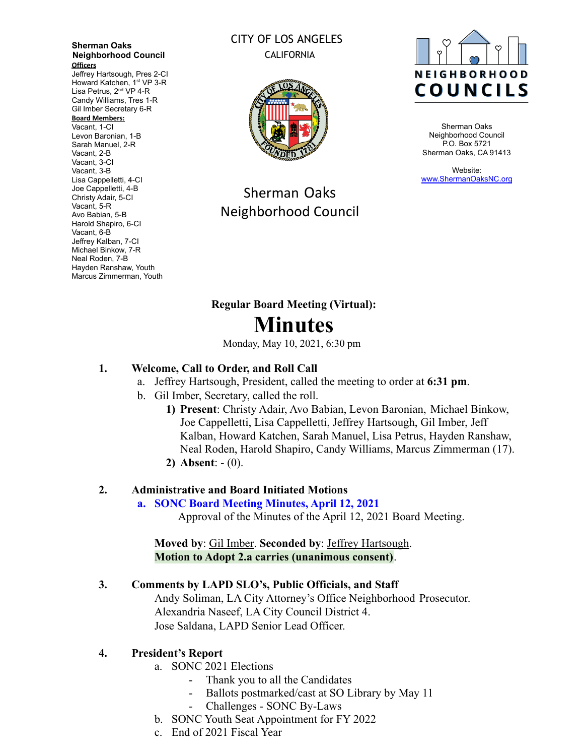#### **Sherman Oaks Neighborhood Council Officers**

Jeffrey Hartsough, Pres 2-CI Howard Katchen, 1<sup>st</sup> VP 3-R Lisa Petrus, 2<sup>nd</sup> VP 4-R Candy Williams, Tres 1-R Gil Imber Secretary 6-R

#### **Board Members:**

Vacant, 1-CI Levon Baronian, 1-B Sarah Manuel, 2-R Vacant, 2-B Vacant, 3-CI Vacant, 3-B Lisa Cappelletti, 4-CI Joe Cappelletti, 4-B Christy Adair, 5-CI Vacant, 5-R Avo Babian, 5-B Harold Shapiro, 6-CI Vacant, 6-B Jeffrey Kalban, 7-CI Michael Binkow, 7-R Neal Roden, 7-B Hayden Ranshaw, Youth Marcus Zimmerman, Youth

# CITY OF LOS ANGELES CALIFORNIA



Sherman Oaks Neighborhood Council



Sherman Oaks Neighborhood Council P.O. Box 5721 Sherman Oaks, CA 91413

Website: [www.ShermanOaksNC.org](http://www.shermanoaksnc.org)

# **Regular Board Meeting (Virtual): Minutes**

Monday, May 10, 2021, 6:30 pm

# **1. Welcome, Call to Order, and Roll Call**

- a. Jeffrey Hartsough, President, called the meeting to order at **6:31 pm**.
- b. Gil Imber, Secretary, called the roll.
	- **1) Present**: Christy Adair, Avo Babian, Levon Baronian, Michael Binkow, Joe Cappelletti, Lisa Cappelletti, Jeffrey Hartsough, Gil Imber, Jeff Kalban, Howard Katchen, Sarah Manuel, Lisa Petrus, Hayden Ranshaw, Neal Roden, Harold Shapiro, Candy Williams, Marcus Zimmerman (17).
	- **2) Absent**: (0).

## **2. Administrative and Board Initiated Motions**

## **a. SONC Board Meeting Minutes, April 12, 2021**

Approval of the Minutes of the April 12, 2021 Board Meeting.

**Moved by**: Gil Imber. **Seconded by**: Jeffrey Hartsough. **Motion to Adopt 2.a carries (unanimous consent)**.

## **3. Comments by LAPD SLO's, Public Officials, and Staff**

Andy Soliman, LA City Attorney's Office Neighborhood Prosecutor. Alexandria Naseef, LA City Council District 4. Jose Saldana, LAPD Senior Lead Officer.

## **4. President's Report**

- a. SONC 2021 Elections
	- Thank you to all the Candidates
	- Ballots postmarked/cast at SO Library by May 11
	- Challenges SONC By-Laws
- b. SONC Youth Seat Appointment for FY 2022
- c. End of 2021 Fiscal Year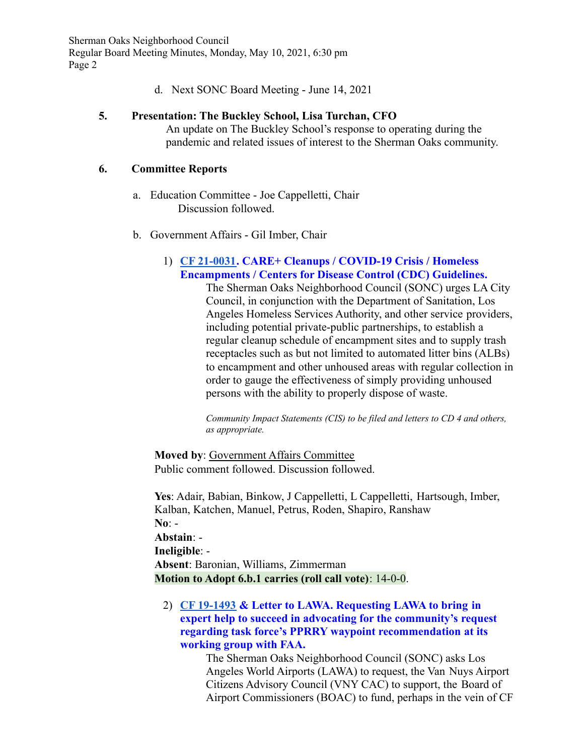d. Next SONC Board Meeting - June 14, 2021

## **5. Presentation: The Buckley School, Lisa Turchan, CFO**

An update on The Buckley School's response to operating during the pandemic and related issues of interest to the Sherman Oaks community.

## **6. Committee Reports**

- a. Education Committee Joe Cappelletti, Chair Discussion followed.
- b. Government Affairs Gil Imber, Chair

## 1) **[CF 21-0031.](https://cityclerk.lacity.org/lacityclerkconnect/index.cfm?fa=ccfi.viewrecord&cfnumber=21-0031) CARE+ Cleanups / COVID-19 Crisis / Homeless Encampments / Centers for Disease Control (CDC) Guidelines.**

The Sherman Oaks Neighborhood Council (SONC) urges LA City Council, in conjunction with the Department of Sanitation, Los Angeles Homeless Services Authority, and other service providers, including potential private-public partnerships, to establish a regular cleanup schedule of encampment sites and to supply trash receptacles such as but not limited to automated litter bins (ALBs) to encampment and other unhoused areas with regular collection in order to gauge the effectiveness of simply providing unhoused persons with the ability to properly dispose of waste.

*Community Impact Statements (CIS) to be filed and letters to CD 4 and others, as appropriate.*

**Moved by**: Government Affairs Committee Public comment followed. Discussion followed.

**Yes**: Adair, Babian, Binkow, J Cappelletti, L Cappelletti, Hartsough, Imber, Kalban, Katchen, Manuel, Petrus, Roden, Shapiro, Ranshaw **No**: - **Abstain**: - **Ineligible**: -

**Absent**: Baronian, Williams, Zimmerman **Motion to Adopt 6.b.1 carries (roll call vote)**: 14-0-0.

2) **[CF 19-1493](https://cityclerk.lacity.org/lacityclerkconnect/index.cfm?fa=ccfi.viewrecord&cfnumber=19-1493) & Letter to LAWA. Requesting LAWA to bring in expert help to succeed in advocating for the community's request regarding task force's PPRRY waypoint recommendation at its working group with FAA.**

The Sherman Oaks Neighborhood Council (SONC) asks Los Angeles World Airports (LAWA) to request, the Van Nuys Airport Citizens Advisory Council (VNY CAC) to support, the Board of Airport Commissioners (BOAC) to fund, perhaps in the vein of CF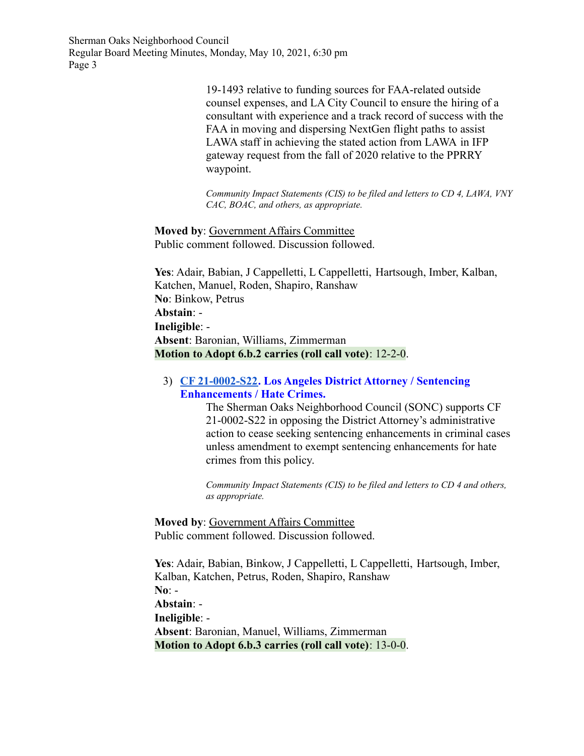> 19-1493 relative to funding sources for FAA-related outside counsel expenses, and LA City Council to ensure the hiring of a consultant with experience and a track record of success with the FAA in moving and dispersing NextGen flight paths to assist LAWA staff in achieving the stated action from LAWA in IFP gateway request from the fall of 2020 relative to the PPRRY waypoint.

*Community Impact Statements (CIS) to be filed and letters to CD 4, LAWA, VNY CAC, BOAC, and others, as appropriate.*

**Moved by**: Government Affairs Committee Public comment followed. Discussion followed.

**Yes**: Adair, Babian, J Cappelletti, L Cappelletti, Hartsough, Imber, Kalban, Katchen, Manuel, Roden, Shapiro, Ranshaw **No**: Binkow, Petrus **Abstain**: - **Ineligible**: - **Absent**: Baronian, Williams, Zimmerman **Motion to Adopt 6.b.2 carries (roll call vote)**: 12-2-0.

3) **[CF 21-0002-S22.](https://cityclerk.lacity.org/lacityclerkconnect/index.cfm?fa=ccfi.viewrecord&cfnumber=21-0002-S22) Los Angeles District Attorney / Sentencing Enhancements / Hate Crimes.**

> The Sherman Oaks Neighborhood Council (SONC) supports CF 21-0002-S22 in opposing the District Attorney's administrative action to cease seeking sentencing enhancements in criminal cases unless amendment to exempt sentencing enhancements for hate crimes from this policy.

*Community Impact Statements (CIS) to be filed and letters to CD 4 and others, as appropriate.*

**Moved by**: Government Affairs Committee Public comment followed. Discussion followed.

**Yes**: Adair, Babian, Binkow, J Cappelletti, L Cappelletti, Hartsough, Imber, Kalban, Katchen, Petrus, Roden, Shapiro, Ranshaw **No**: - **Abstain**: - **Ineligible**: - **Absent**: Baronian, Manuel, Williams, Zimmerman **Motion to Adopt 6.b.3 carries (roll call vote)**: 13-0-0.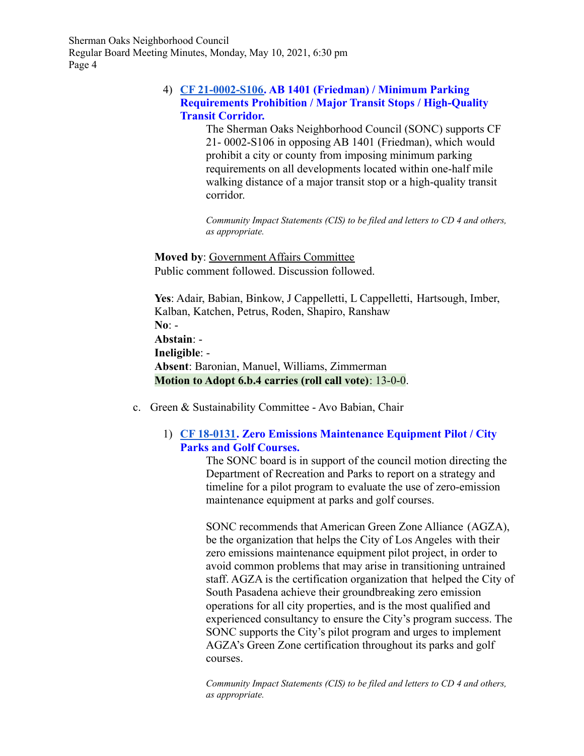## 4) **[CF 21-0002-S106.](https://cityclerk.lacity.org/lacityclerkconnect/index.cfm?fa=ccfi.viewrecord&cfnumber=21-0002-S106) AB 1401 (Friedman) / Minimum Parking Requirements Prohibition / Major Transit Stops / High-Quality Transit Corridor.**

The Sherman Oaks Neighborhood Council (SONC) supports CF 21- 0002-S106 in opposing AB 1401 (Friedman), which would prohibit a city or county from imposing minimum parking requirements on all developments located within one-half mile walking distance of a major transit stop or a high-quality transit corridor.

*Community Impact Statements (CIS) to be filed and letters to CD 4 and others, as appropriate.*

**Moved by**: Government Affairs Committee Public comment followed. Discussion followed.

**Yes**: Adair, Babian, Binkow, J Cappelletti, L Cappelletti, Hartsough, Imber, Kalban, Katchen, Petrus, Roden, Shapiro, Ranshaw **No**: - **Abstain**: - **Ineligible**: - **Absent**: Baronian, Manuel, Williams, Zimmerman **Motion to Adopt 6.b.4 carries (roll call vote)**: 13-0-0.

c. Green & Sustainability Committee - Avo Babian, Chair

## 1) **[CF 18-0131.](https://cityclerk.lacity.org/lacityclerkconnect/index.cfm?fa=ccfi.viewrecord&cfnumber=18-0131) Zero Emissions Maintenance Equipment Pilot / City Parks and Golf Courses.**

The SONC board is in support of the council motion directing the Department of Recreation and Parks to report on a strategy and timeline for a pilot program to evaluate the use of zero-emission maintenance equipment at parks and golf courses.

SONC recommends that American Green Zone Alliance (AGZA), be the organization that helps the City of Los Angeles with their zero emissions maintenance equipment pilot project, in order to avoid common problems that may arise in transitioning untrained staff. AGZA is the certification organization that helped the City of South Pasadena achieve their groundbreaking zero emission operations for all city properties, and is the most qualified and experienced consultancy to ensure the City's program success. The SONC supports the City's pilot program and urges to implement AGZA's Green Zone certification throughout its parks and golf courses.

*Community Impact Statements (CIS) to be filed and letters to CD 4 and others, as appropriate.*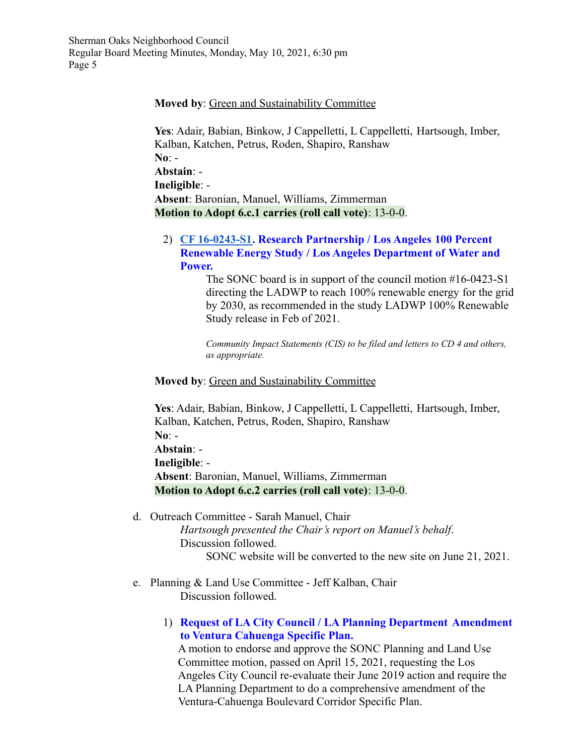## **Moved by**: Green and Sustainability Committee

**Yes**: Adair, Babian, Binkow, J Cappelletti, L Cappelletti, Hartsough, Imber, Kalban, Katchen, Petrus, Roden, Shapiro, Ranshaw **No**: - **Abstain**: - **Ineligible**: - **Absent**: Baronian, Manuel, Williams, Zimmerman **Motion to Adopt 6.c.1 carries (roll call vote)**: 13-0-0.

2) **[CF 16-0243-S1.](https://cityclerk.lacity.org/lacityclerkconnect/index.cfm?fa=ccfi.viewrecord&cfnumber=16-0243-S1) Research Partnership / Los Angeles 100 Percent Renewable Energy Study / Los Angeles Department of Water and Power.**

> The SONC board is in support of the council motion #16-0423-S1 directing the LADWP to reach 100% renewable energy for the grid by 2030, as recommended in the study LADWP 100% Renewable Study release in Feb of 2021.

*Community Impact Statements (CIS) to be filed and letters to CD 4 and others, as appropriate.*

### **Moved by**: Green and Sustainability Committee

**Yes**: Adair, Babian, Binkow, J Cappelletti, L Cappelletti, Hartsough, Imber, Kalban, Katchen, Petrus, Roden, Shapiro, Ranshaw **No**: - **Abstain**: - **Ineligible**: - **Absent**: Baronian, Manuel, Williams, Zimmerman **Motion to Adopt 6.c.2 carries (roll call vote)**: 13-0-0.

- d. Outreach Committee Sarah Manuel, Chair *Hartsough presented the Chair's report on Manuel's behalf*. Discussion followed. SONC website will be converted to the new site on June 21, 2021.
- e. Planning & Land Use Committee Jeff Kalban, Chair Discussion followed.
	- 1) **Request of LA City Council / LA Planning Department Amendment to Ventura Cahuenga Specific Plan.**

A motion to endorse and approve the SONC Planning and Land Use Committee motion, passed on April 15, 2021, requesting the Los Angeles City Council re-evaluate their June 2019 action and require the LA Planning Department to do a comprehensive amendment of the Ventura-Cahuenga Boulevard Corridor Specific Plan.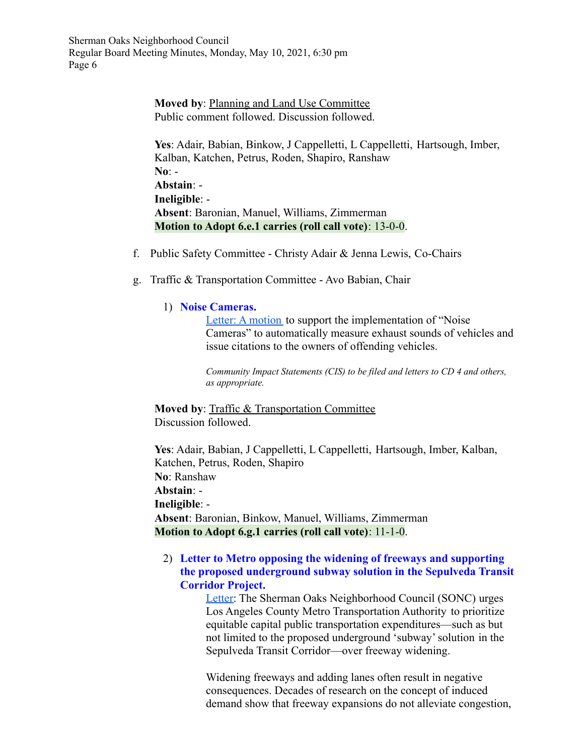> **Moved by**: Planning and Land Use Committee Public comment followed. Discussion followed.

**Yes**: Adair, Babian, Binkow, J Cappelletti, L Cappelletti, Hartsough, Imber, Kalban, Katchen, Petrus, Roden, Shapiro, Ranshaw **No**: - **Abstain**: - **Ineligible**: - **Absent**: Baronian, Manuel, Williams, Zimmerman **Motion to Adopt 6.e.1 carries (roll call vote)**: 13-0-0.

- f. Public Safety Committee Christy Adair & Jenna Lewis, Co-Chairs
- g. Traffic & Transportation Committee Avo Babian, Chair

## 1) **Noise Cameras.**

[Letter: A motion](https://www.shermanoaksnc.org/docs/34483779-7745.pdf) to support the implementation of "Noise" Cameras" to automatically measure exhaust sounds of vehicles and issue citations to the owners of offending vehicles.

*Community Impact Statements (CIS) to be filed and letters to CD 4 and others, as appropriate.*

**Moved by**: Traffic & Transportation Committee Discussion followed.

**Yes**: Adair, Babian, J Cappelletti, L Cappelletti, Hartsough, Imber, Kalban, Katchen, Petrus, Roden, Shapiro **No**: Ranshaw **Abstain**: - **Ineligible**: - **Absent**: Baronian, Binkow, Manuel, Williams, Zimmerman **Motion to Adopt 6.g.1 carries (roll call vote)**: 11-1-0.

## 2) **Letter to Metro opposing the widening of freeways and supporting the proposed underground subway solution in the Sepulveda Transit Corridor Project.**

[Letter:](https://www.shermanoaksnc.org/docs/34483779-7746.pdf) The Sherman Oaks Neighborhood Council (SONC) urges Los Angeles County Metro Transportation Authority to prioritize equitable capital public transportation expenditures—such as but not limited to the proposed underground 'subway' solution in the Sepulveda Transit Corridor—over freeway widening.

Widening freeways and adding lanes often result in negative consequences. Decades of research on the concept of induced demand show that freeway expansions do not alleviate congestion,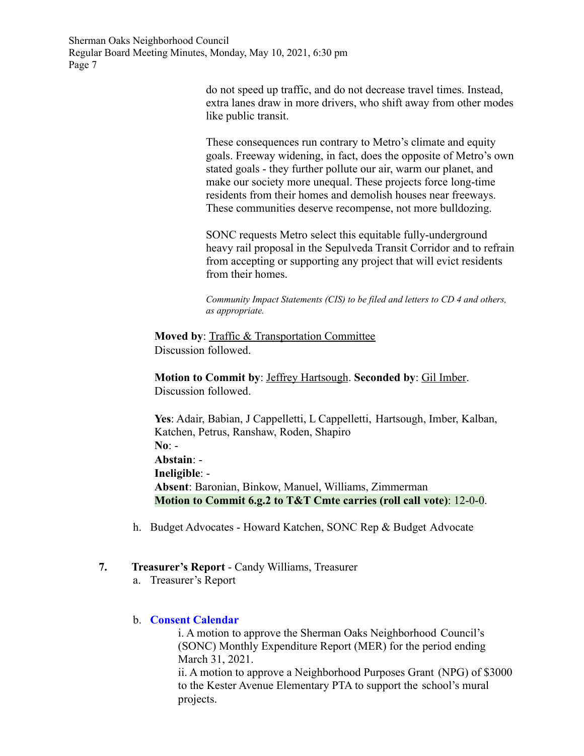> do not speed up traffic, and do not decrease travel times. Instead, extra lanes draw in more drivers, who shift away from other modes like public transit.

> These consequences run contrary to Metro's climate and equity goals. Freeway widening, in fact, does the opposite of Metro's own stated goals - they further pollute our air, warm our planet, and make our society more unequal. These projects force long-time residents from their homes and demolish houses near freeways. These communities deserve recompense, not more bulldozing.

> SONC requests Metro select this equitable fully-underground heavy rail proposal in the Sepulveda Transit Corridor and to refrain from accepting or supporting any project that will evict residents from their homes.

*Community Impact Statements (CIS) to be filed and letters to CD 4 and others, as appropriate.*

**Moved by**: Traffic & Transportation Committee Discussion followed.

**Motion to Commit by**: Jeffrey Hartsough. **Seconded by**: Gil Imber. Discussion followed.

**Yes**: Adair, Babian, J Cappelletti, L Cappelletti, Hartsough, Imber, Kalban, Katchen, Petrus, Ranshaw, Roden, Shapiro **No**: - **Abstain**: - **Ineligible**: - **Absent**: Baronian, Binkow, Manuel, Williams, Zimmerman **Motion to Commit 6.g.2 to T&T Cmte carries (roll call vote)**: 12-0-0.

h. Budget Advocates - Howard Katchen, SONC Rep & Budget Advocate

## **7. Treasurer's Report** - Candy Williams, Treasurer

a. Treasurer's Report

## b. **Consent Calendar**

i. A motion to approve the Sherman Oaks Neighborhood Council's (SONC) Monthly Expenditure Report (MER) for the period ending March 31, 2021.

ii. A motion to approve a Neighborhood Purposes Grant (NPG) of \$3000 to the Kester Avenue Elementary PTA to support the school's mural projects.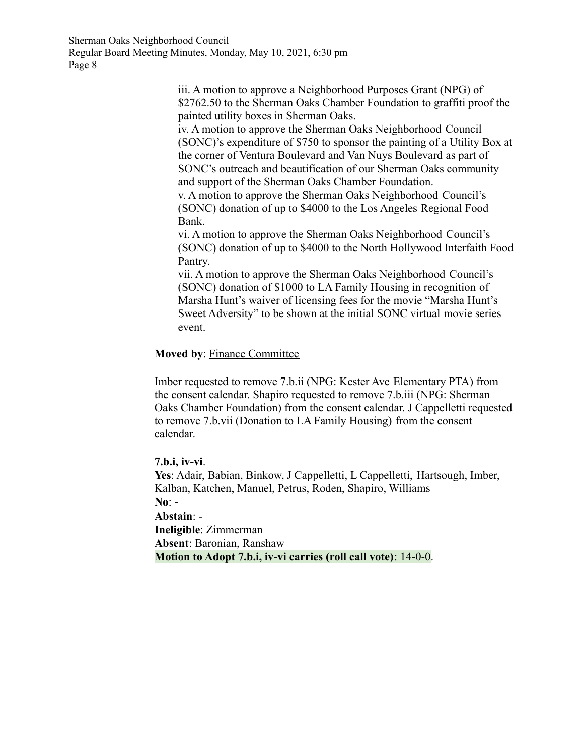> iii. A motion to approve a Neighborhood Purposes Grant (NPG) of \$2762.50 to the Sherman Oaks Chamber Foundation to graffiti proof the painted utility boxes in Sherman Oaks.

> iv. A motion to approve the Sherman Oaks Neighborhood Council (SONC)'s expenditure of \$750 to sponsor the painting of a Utility Box at the corner of Ventura Boulevard and Van Nuys Boulevard as part of SONC's outreach and beautification of our Sherman Oaks community and support of the Sherman Oaks Chamber Foundation.

v. A motion to approve the Sherman Oaks Neighborhood Council's (SONC) donation of up to \$4000 to the Los Angeles Regional Food Bank.

vi. A motion to approve the Sherman Oaks Neighborhood Council's (SONC) donation of up to \$4000 to the North Hollywood Interfaith Food Pantry.

vii. A motion to approve the Sherman Oaks Neighborhood Council's (SONC) donation of \$1000 to LA Family Housing in recognition of Marsha Hunt's waiver of licensing fees for the movie "Marsha Hunt's Sweet Adversity" to be shown at the initial SONC virtual movie series event.

## **Moved by**: Finance Committee

Imber requested to remove 7.b.ii (NPG: Kester Ave Elementary PTA) from the consent calendar. Shapiro requested to remove 7.b.iii (NPG: Sherman Oaks Chamber Foundation) from the consent calendar. J Cappelletti requested to remove 7.b.vii (Donation to LA Family Housing) from the consent calendar.

**7.b.i, iv-vi**. **Yes**: Adair, Babian, Binkow, J Cappelletti, L Cappelletti, Hartsough, Imber, Kalban, Katchen, Manuel, Petrus, Roden, Shapiro, Williams **No**: -

**Abstain**: - **Ineligible**: Zimmerman **Absent**: Baronian, Ranshaw **Motion to Adopt 7.b.i, iv-vi carries (roll call vote)**: 14-0-0.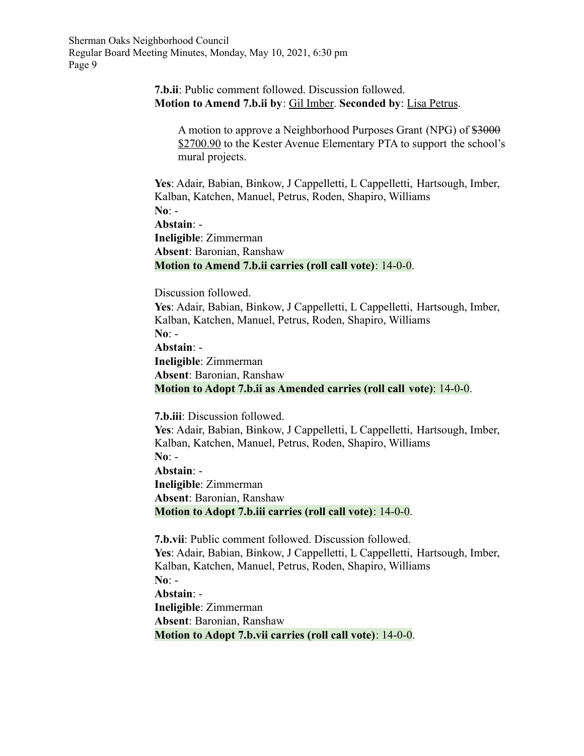## **7.b.ii**: Public comment followed. Discussion followed. **Motion to Amend 7.b.ii by**: Gil Imber. **Seconded by**: Lisa Petrus.

A motion to approve a Neighborhood Purposes Grant (NPG) of  $\frac{2000}{2000}$ \$2700.90 to the Kester Avenue Elementary PTA to support the school's mural projects.

**Yes**: Adair, Babian, Binkow, J Cappelletti, L Cappelletti, Hartsough, Imber, Kalban, Katchen, Manuel, Petrus, Roden, Shapiro, Williams **No**: -

**Abstain**: -

**Ineligible**: Zimmerman **Absent**: Baronian, Ranshaw **Motion to Amend 7.b.ii carries (roll call vote)**: 14-0-0.

Discussion followed.

**Yes**: Adair, Babian, Binkow, J Cappelletti, L Cappelletti, Hartsough, Imber, Kalban, Katchen, Manuel, Petrus, Roden, Shapiro, Williams **No**: -

**Abstain**: -

**Ineligible**: Zimmerman **Absent**: Baronian, Ranshaw **Motion to Adopt 7.b.ii as Amended carries (roll call vote)**: 14-0-0.

**7.b.iii**: Discussion followed.

**Yes**: Adair, Babian, Binkow, J Cappelletti, L Cappelletti, Hartsough, Imber, Kalban, Katchen, Manuel, Petrus, Roden, Shapiro, Williams **No**: - **Abstain**: - **Ineligible**: Zimmerman **Absent**: Baronian, Ranshaw **Motion to Adopt 7.b.iii carries (roll call vote)**: 14-0-0.

**7.b.vii**: Public comment followed. Discussion followed. **Yes**: Adair, Babian, Binkow, J Cappelletti, L Cappelletti, Hartsough, Imber, Kalban, Katchen, Manuel, Petrus, Roden, Shapiro, Williams **No**: - **Abstain**: - **Ineligible**: Zimmerman **Absent**: Baronian, Ranshaw **Motion to Adopt 7.b.vii carries (roll call vote)**: 14-0-0.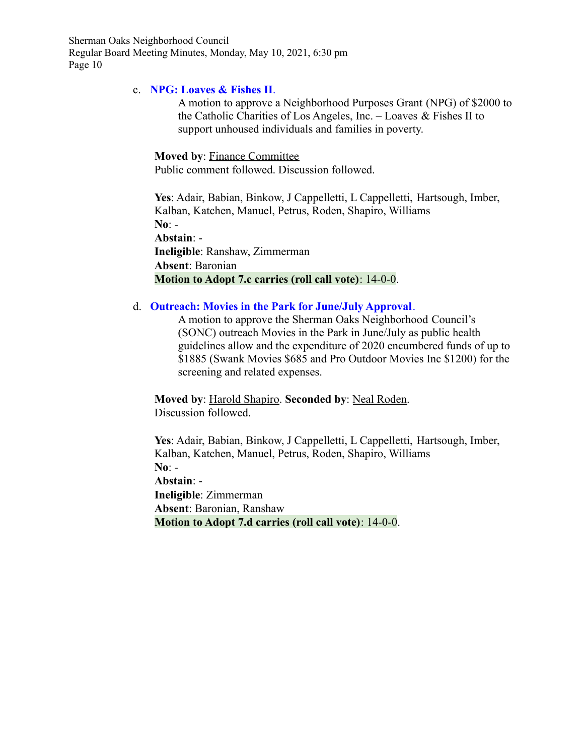## c. **NPG: Loaves & Fishes II**.

A motion to approve a Neighborhood Purposes Grant (NPG) of \$2000 to the Catholic Charities of Los Angeles, Inc. – Loaves & Fishes II to support unhoused individuals and families in poverty.

## **Moved by**: Finance Committee

Public comment followed. Discussion followed.

**Yes**: Adair, Babian, Binkow, J Cappelletti, L Cappelletti, Hartsough, Imber, Kalban, Katchen, Manuel, Petrus, Roden, Shapiro, Williams **No**: - **Abstain**: - **Ineligible**: Ranshaw, Zimmerman

**Absent**: Baronian **Motion to Adopt 7.c carries (roll call vote)**: 14-0-0.

## d. **Outreach: Movies in the Park for June/July Approval**.

A motion to approve the Sherman Oaks Neighborhood Council's (SONC) outreach Movies in the Park in June/July as public health guidelines allow and the expenditure of 2020 encumbered funds of up to \$1885 (Swank Movies \$685 and Pro Outdoor Movies Inc \$1200) for the screening and related expenses.

**Moved by**: Harold Shapiro. **Seconded by**: Neal Roden. Discussion followed.

**Yes**: Adair, Babian, Binkow, J Cappelletti, L Cappelletti, Hartsough, Imber, Kalban, Katchen, Manuel, Petrus, Roden, Shapiro, Williams **No**: - **Abstain**: - **Ineligible**: Zimmerman **Absent**: Baronian, Ranshaw **Motion to Adopt 7.d carries (roll call vote)**: 14-0-0.